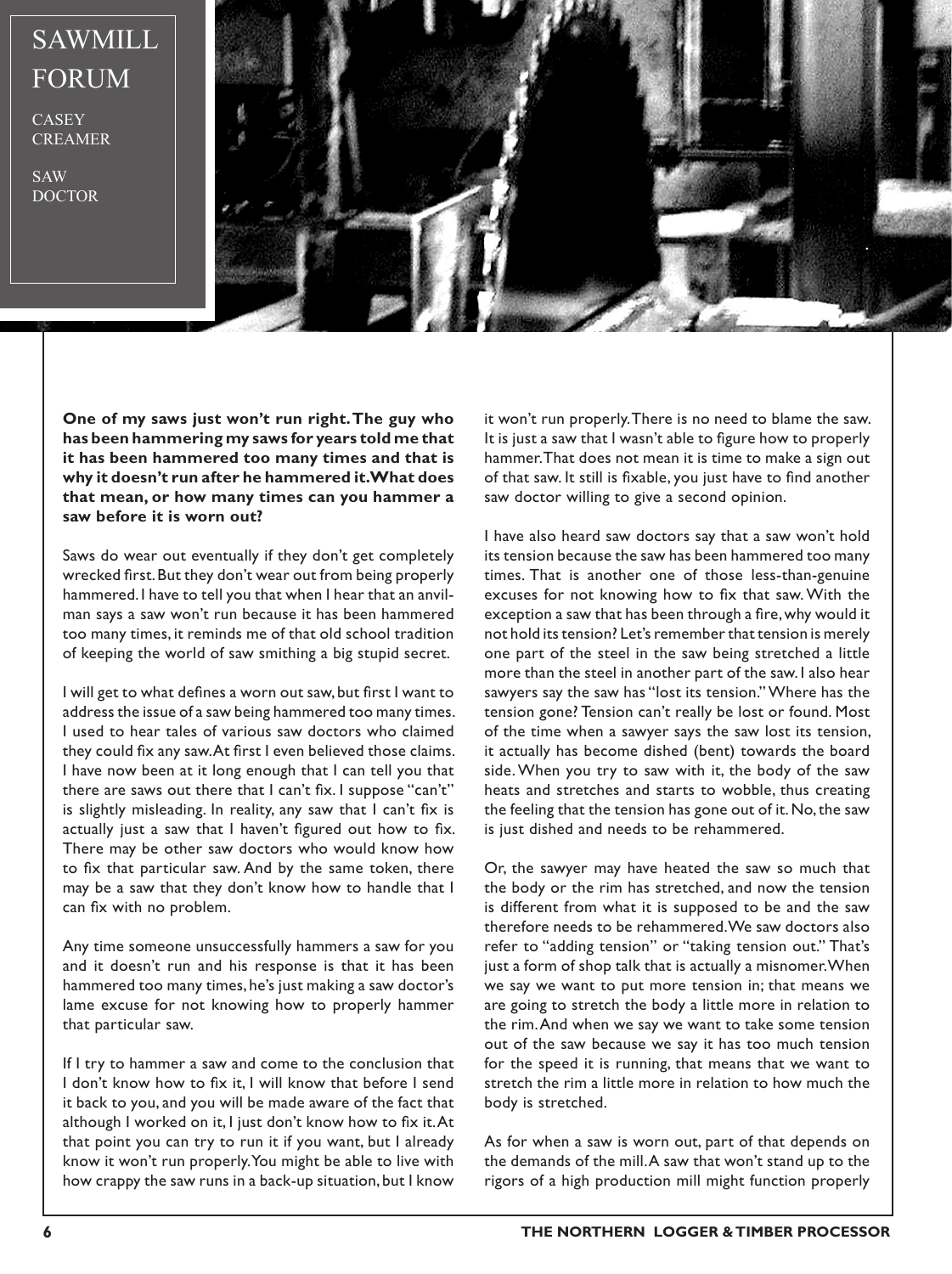## SAWMILL FORUM

**CASEY** CREAMER

SAW DOCTOR



**One of my saws just won't run right. The guy who has been hammering my saws for years told me that it has been hammered too many times and that is why it doesn't run after he hammered it. What does that mean, or how many times can you hammer a saw before it is worn out?**

Saws do wear out eventually if they don't get completely wrecked first. But they don't wear out from being properly hammered. I have to tell you that when I hear that an anvilman says a saw won't run because it has been hammered too many times, it reminds me of that old school tradition of keeping the world of saw smithing a big stupid secret.

I will get to what defines a worn out saw, but first I want to address the issue of a saw being hammered too many times. I used to hear tales of various saw doctors who claimed they could fix any saw. At first I even believed those claims. I have now been at it long enough that I can tell you that there are saws out there that I can't fix. I suppose "can't" is slightly misleading. In reality, any saw that I can't fix is actually just a saw that I haven't figured out how to fix. There may be other saw doctors who would know how to fix that particular saw. And by the same token, there may be a saw that they don't know how to handle that I can fix with no problem.

Any time someone unsuccessfully hammers a saw for you and it doesn't run and his response is that it has been hammered too many times, he's just making a saw doctor's lame excuse for not knowing how to properly hammer that particular saw.

If I try to hammer a saw and come to the conclusion that I don't know how to fix it, I will know that before I send it back to you, and you will be made aware of the fact that although I worked on it, I just don't know how to fix it. At that point you can try to run it if you want, but I already know it won't run properly. You might be able to live with how crappy the saw runs in a back-up situation, but I know

it won't run properly. There is no need to blame the saw. It is just a saw that I wasn't able to figure how to properly hammer. That does not mean it is time to make a sign out of that saw. It still is fixable, you just have to find another saw doctor willing to give a second opinion.

I have also heard saw doctors say that a saw won't hold its tension because the saw has been hammered too many times. That is another one of those less-than-genuine excuses for not knowing how to fix that saw. With the exception a saw that has been through a fire, why would it not hold its tension? Let's remember that tension is merely one part of the steel in the saw being stretched a little more than the steel in another part of the saw. I also hear sawyers say the saw has "lost its tension." Where has the tension gone? Tension can't really be lost or found. Most of the time when a sawyer says the saw lost its tension, it actually has become dished (bent) towards the board side. When you try to saw with it, the body of the saw heats and stretches and starts to wobble, thus creating the feeling that the tension has gone out of it. No, the saw is just dished and needs to be rehammered.

Or, the sawyer may have heated the saw so much that the body or the rim has stretched, and now the tension is different from what it is supposed to be and the saw therefore needs to be rehammered. We saw doctors also refer to "adding tension" or "taking tension out." That's just a form of shop talk that is actually a misnomer. When we say we want to put more tension in; that means we are going to stretch the body a little more in relation to the rim. And when we say we want to take some tension out of the saw because we say it has too much tension for the speed it is running, that means that we want to stretch the rim a little more in relation to how much the body is stretched.

As for when a saw is worn out, part of that depends on the demands of the mill. A saw that won't stand up to the rigors of a high production mill might function properly